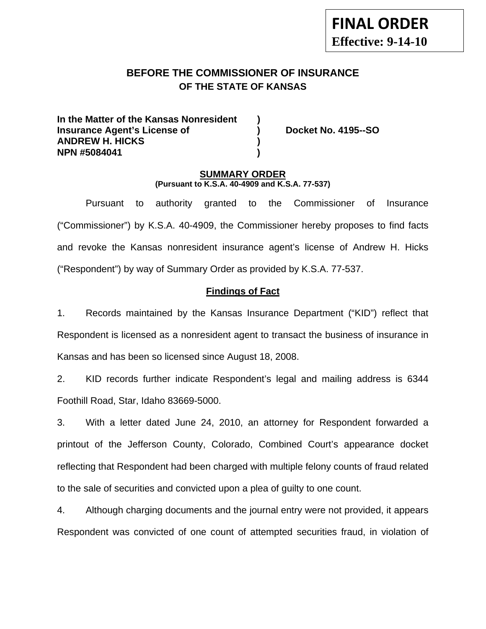# **BEFORE THE COMMISSIONER OF INSURANCE OF THE STATE OF KANSAS**

**In the Matter of the Kansas Nonresident ) Insurance Agent's License of ) Docket No. 4195--SO ANDREW H. HICKS ) NPN #5084041 )** 

### **SUMMARY ORDER (Pursuant to K.S.A. 40-4909 and K.S.A. 77-537)**

 Pursuant to authority granted to the Commissioner of Insurance ("Commissioner") by K.S.A. 40-4909, the Commissioner hereby proposes to find facts and revoke the Kansas nonresident insurance agent's license of Andrew H. Hicks ("Respondent") by way of Summary Order as provided by K.S.A. 77-537.

### **Findings of Fact**

1. Records maintained by the Kansas Insurance Department ("KID") reflect that Respondent is licensed as a nonresident agent to transact the business of insurance in Kansas and has been so licensed since August 18, 2008.

2. KID records further indicate Respondent's legal and mailing address is 6344 Foothill Road, Star, Idaho 83669-5000.

3. With a letter dated June 24, 2010, an attorney for Respondent forwarded a printout of the Jefferson County, Colorado, Combined Court's appearance docket reflecting that Respondent had been charged with multiple felony counts of fraud related to the sale of securities and convicted upon a plea of guilty to one count.

4. Although charging documents and the journal entry were not provided, it appears Respondent was convicted of one count of attempted securities fraud, in violation of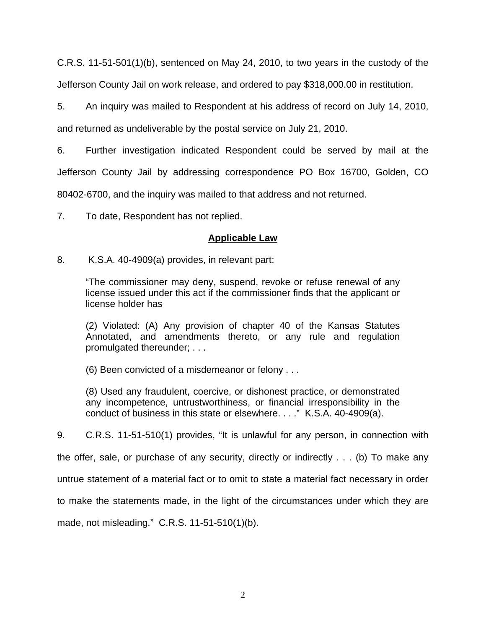C.R.S. 11-51-501(1)(b), sentenced on May 24, 2010, to two years in the custody of the Jefferson County Jail on work release, and ordered to pay \$318,000.00 in restitution.

5. An inquiry was mailed to Respondent at his address of record on July 14, 2010, and returned as undeliverable by the postal service on July 21, 2010.

6. Further investigation indicated Respondent could be served by mail at the Jefferson County Jail by addressing correspondence PO Box 16700, Golden, CO 80402-6700, and the inquiry was mailed to that address and not returned.

7. To date, Respondent has not replied.

## **Applicable Law**

8. K.S.A. 40-4909(a) provides, in relevant part:

"The commissioner may deny, suspend, revoke or refuse renewal of any license issued under this act if the commissioner finds that the applicant or license holder has

(2) Violated: (A) Any provision of chapter 40 of the Kansas Statutes Annotated, and amendments thereto, or any rule and regulation promulgated thereunder; . . .

(6) Been convicted of a misdemeanor or felony . . .

(8) Used any fraudulent, coercive, or dishonest practice, or demonstrated any incompetence, untrustworthiness, or financial irresponsibility in the conduct of business in this state or elsewhere. . . ." K.S.A. 40-4909(a).

9. C.R.S. 11-51-510(1) provides, "It is unlawful for any person, in connection with the offer, sale, or purchase of any security, directly or indirectly . . . (b) To make any untrue statement of a material fact or to omit to state a material fact necessary in order to make the statements made, in the light of the circumstances under which they are made, not misleading." C.R.S. 11-51-510(1)(b).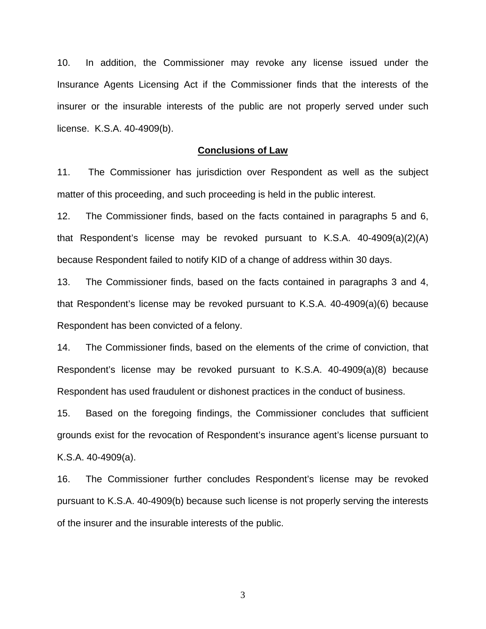10. In addition, the Commissioner may revoke any license issued under the Insurance Agents Licensing Act if the Commissioner finds that the interests of the insurer or the insurable interests of the public are not properly served under such license. K.S.A. 40-4909(b).

#### **Conclusions of Law**

11. The Commissioner has jurisdiction over Respondent as well as the subject matter of this proceeding, and such proceeding is held in the public interest.

12. The Commissioner finds, based on the facts contained in paragraphs 5 and 6, that Respondent's license may be revoked pursuant to K.S.A. 40-4909(a)(2)(A) because Respondent failed to notify KID of a change of address within 30 days.

13. The Commissioner finds, based on the facts contained in paragraphs 3 and 4, that Respondent's license may be revoked pursuant to K.S.A. 40-4909(a)(6) because Respondent has been convicted of a felony.

14. The Commissioner finds, based on the elements of the crime of conviction, that Respondent's license may be revoked pursuant to K.S.A. 40-4909(a)(8) because Respondent has used fraudulent or dishonest practices in the conduct of business.

15. Based on the foregoing findings, the Commissioner concludes that sufficient grounds exist for the revocation of Respondent's insurance agent's license pursuant to K.S.A. 40-4909(a).

16. The Commissioner further concludes Respondent's license may be revoked pursuant to K.S.A. 40-4909(b) because such license is not properly serving the interests of the insurer and the insurable interests of the public.

3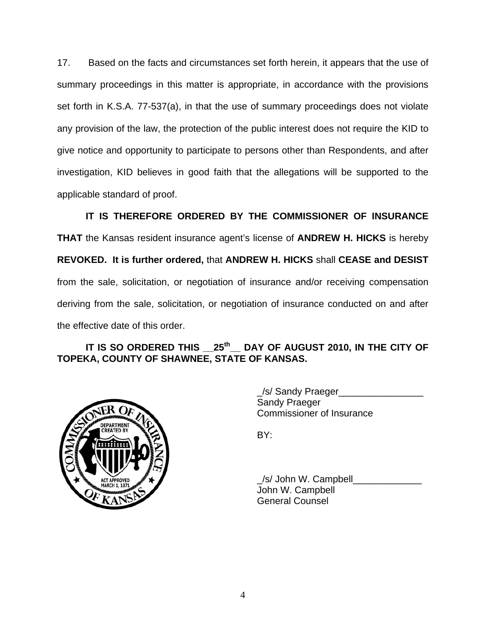17. Based on the facts and circumstances set forth herein, it appears that the use of summary proceedings in this matter is appropriate, in accordance with the provisions set forth in K.S.A. 77-537(a), in that the use of summary proceedings does not violate any provision of the law, the protection of the public interest does not require the KID to give notice and opportunity to participate to persons other than Respondents, and after investigation, KID believes in good faith that the allegations will be supported to the applicable standard of proof.

 **IT IS THEREFORE ORDERED BY THE COMMISSIONER OF INSURANCE THAT** the Kansas resident insurance agent's license of **ANDREW H. HICKS** is hereby **REVOKED. It is further ordered,** that **ANDREW H. HICKS** shall **CEASE and DESIST** from the sale, solicitation, or negotiation of insurance and/or receiving compensation deriving from the sale, solicitation, or negotiation of insurance conducted on and after the effective date of this order.

## **IT IS SO ORDERED THIS \_\_25th\_\_ DAY OF AUGUST 2010, IN THE CITY OF TOPEKA, COUNTY OF SHAWNEE, STATE OF KANSAS.**



 \_/s/ Sandy Praeger\_\_\_\_\_\_\_\_\_\_\_\_\_\_\_\_ Sandy Praeger Commissioner of Insurance

/s/ John W. Campbell John W. Campbell General Counsel